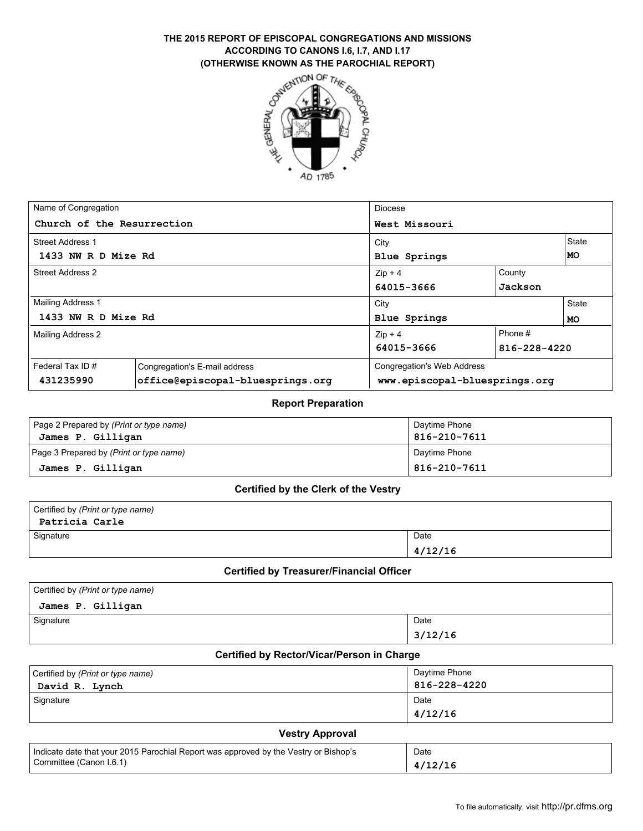# THE 2015 REPORT OF EPISCOPAL CONGREGATIONS AND MISSIONS<br>
ACCORDING TO CANONS I.6, I.7, AND I.17<br>
(OTHERWISE KNOWN AS THE PAROCHIAL REPORT)<br>  $\sigma^{N}$ <sup>16</sup><sup>2</sup><sup>2</sup> **ACCORDING TO CANONS I.6, I.7, AND I.17 (OTHERWISE KNOWN AS THE PAROCHIAL REPORT)**



| Name of Congregation                |                                  | Diocese                       |              |           |  |
|-------------------------------------|----------------------------------|-------------------------------|--------------|-----------|--|
| Church of the Resurrection          |                                  | West Missouri                 |              |           |  |
| <b>Street Address 1</b>             |                                  | City                          |              |           |  |
| 1433 NW R D Mize Rd<br>Blue Springs |                                  |                               | MO           |           |  |
| Street Address 2<br>$Zip + 4$       |                                  | County                        |              |           |  |
|                                     |                                  | 64015-3666                    | Jackson      |           |  |
| Mailing Address 1                   |                                  | City                          |              | State     |  |
| 1433 NW R D Mize Rd                 |                                  | <b>Blue Springs</b>           |              | <b>MO</b> |  |
| Mailing Address 2                   |                                  | $Zip + 4$                     | Phone #      |           |  |
|                                     |                                  | 64015-3666                    | 816-228-4220 |           |  |
| Federal Tax ID#                     | Congregation's E-mail address    | Congregation's Web Address    |              |           |  |
| 431235990                           | office@episcopal-bluesprings.org | www.episcopal-bluesprings.org |              |           |  |

### **Report Preparation**

| Page 2 Prepared by (Print or type name) | Daytime Phone |
|-----------------------------------------|---------------|
| James P. Gilligan                       | 816-210-7611  |
| Page 3 Prepared by (Print or type name) | Daytime Phone |
| James P. Gilligan                       | 816-210-7611  |

#### **Certified by the Clerk of the Vestry**

| Certified by (Print or type name) |         |
|-----------------------------------|---------|
| Patricia Carle                    |         |
| Signature                         | Date    |
|                                   | 4/12/16 |

#### **Certified by Treasurer/Financial Officer**

| Certified by (Print or type name) |         |
|-----------------------------------|---------|
| James P. Gilligan                 |         |
| Signature                         | Date    |
|                                   | 3/12/16 |

### **Certified by Rector/Vicar/Person in Charge**

| Certified by (Print or type name) | Daytime Phone   |
|-----------------------------------|-----------------|
| David R. Lynch                    | 816-228-4220    |
| Signature                         | Date<br>4/12/16 |

### **Vestry Approval**

| Indicate date that your 2015 Parochial Report was approved by the Vestry or Bishop's | Date |
|--------------------------------------------------------------------------------------|------|
| Committee (Canon I.6.1)                                                              |      |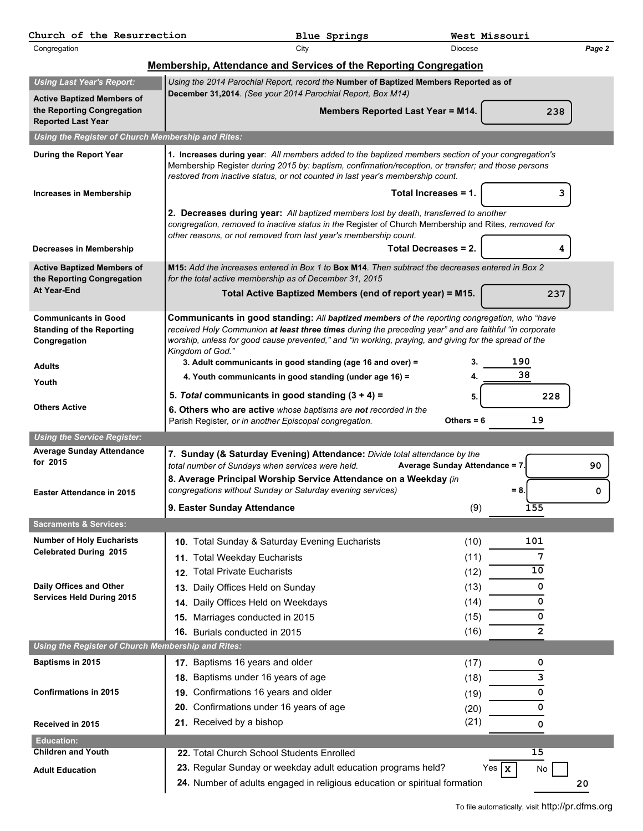| Congregation<br>City<br><b>Diocese</b><br>Membership, Attendance and Services of the Reporting Congregation<br><b>Using Last Year's Report:</b><br>Using the 2014 Parochial Report, record the Number of Baptized Members Reported as of<br>December 31,2014. (See your 2014 Parochial Report, Box M14)<br><b>Active Baptized Members of</b><br>the Reporting Congregation<br>Members Reported Last Year = M14.<br>238<br><b>Reported Last Year</b><br>Using the Register of Church Membership and Rites:<br>1. Increases during year: All members added to the baptized members section of your congregation's<br>During the Report Year<br>Membership Register during 2015 by: baptism, confirmation/reception, or transfer; and those persons<br>restored from inactive status, or not counted in last year's membership count.<br>Total Increases = 1.<br>3<br><b>Increases in Membership</b><br>2. Decreases during year: All baptized members lost by death, transferred to another<br>congregation, removed to inactive status in the Register of Church Membership and Rites, removed for<br>other reasons, or not removed from last year's membership count.<br>Total Decreases = 2.<br>Decreases in Membership<br>M15: Add the increases entered in Box 1 to Box M14. Then subtract the decreases entered in Box 2<br><b>Active Baptized Members of</b><br>for the total active membership as of December 31, 2015<br>the Reporting Congregation<br>At Year-End<br>Total Active Baptized Members (end of report year) = M15.<br>237<br>Communicants in good standing: All baptized members of the reporting congregation, who "have<br><b>Communicants in Good</b><br>received Holy Communion at least three times during the preceding year" and are faithful "in corporate<br><b>Standing of the Reporting</b><br>worship, unless for good cause prevented," and "in working, praying, and giving for the spread of the<br>Congregation<br>Kingdom of God."<br>3. Adult communicants in good standing (age 16 and over) =<br>190<br>3.<br><b>Adults</b><br>38<br>4. Youth communicants in good standing (under age 16) =<br>4.<br>Youth<br>5. Total communicants in good standing $(3 + 4) =$<br>5.<br>228<br><b>Others Active</b><br>6. Others who are active whose baptisms are not recorded in the<br>Parish Register, or in another Episcopal congregation.<br>19<br>Others = $6$<br><b>Using the Service Register:</b><br><b>Average Sunday Attendance</b><br>7. Sunday (& Saturday Evening) Attendance: Divide total attendance by the<br>for 2015<br>total number of Sundays when services were held.<br>90<br>Average Sunday Attendance = 7.<br>8. Average Principal Worship Service Attendance on a Weekday (in<br>congregations without Sunday or Saturday evening services)<br>$= 8.$<br>0<br>Easter Attendance in 2015<br>(9)<br>9. Easter Sunday Attendance<br>155<br><b>Sacraments &amp; Services:</b><br><b>Number of Holy Eucharists</b><br>(10)<br>101<br>10. Total Sunday & Saturday Evening Eucharists<br><b>Celebrated During 2015</b><br>(11)<br>7<br><b>Total Weekday Eucharists</b><br>11.<br>10<br><b>Total Private Eucharists</b><br>(12)<br>12.<br>Daily Offices and Other<br>(13)<br>Daily Offices Held on Sunday<br>0<br>13.<br><b>Services Held During 2015</b><br>Daily Offices Held on Weekdays<br>(14)<br>0<br>14.<br>0<br>15. Marriages conducted in 2015<br>(15)<br>(16)<br>$\overline{2}$<br>16. Burials conducted in 2015<br>Using the Register of Church Membership and Rites:<br>17. Baptisms 16 years and older<br>Baptisms in 2015<br>(17)<br>0<br>18. Baptisms under 16 years of age<br>3<br>(18)<br>19. Confirmations 16 years and older<br><b>Confirmations in 2015</b><br>0<br>(19)<br>20. Confirmations under 16 years of age<br>0<br>(20)<br>21. Received by a bishop<br>(21)<br>Received in 2015<br>0<br><b>Education:</b><br><b>Children and Youth</b><br>15<br>22. Total Church School Students Enrolled<br>23. Regular Sunday or weekday adult education programs held?<br>Yes $\mathbf{x}$<br>No<br><b>Adult Education</b><br>24. Number of adults engaged in religious education or spiritual formation<br>20 | Church of the Resurrection | Blue Springs | West Missouri |        |
|-------------------------------------------------------------------------------------------------------------------------------------------------------------------------------------------------------------------------------------------------------------------------------------------------------------------------------------------------------------------------------------------------------------------------------------------------------------------------------------------------------------------------------------------------------------------------------------------------------------------------------------------------------------------------------------------------------------------------------------------------------------------------------------------------------------------------------------------------------------------------------------------------------------------------------------------------------------------------------------------------------------------------------------------------------------------------------------------------------------------------------------------------------------------------------------------------------------------------------------------------------------------------------------------------------------------------------------------------------------------------------------------------------------------------------------------------------------------------------------------------------------------------------------------------------------------------------------------------------------------------------------------------------------------------------------------------------------------------------------------------------------------------------------------------------------------------------------------------------------------------------------------------------------------------------------------------------------------------------------------------------------------------------------------------------------------------------------------------------------------------------------------------------------------------------------------------------------------------------------------------------------------------------------------------------------------------------------------------------------------------------------------------------------------------------------------------------------------------------------------------------------------------------------------------------------------------------------------------------------------------------------------------------------------------------------------------------------------------------------------------------------------------------------------------------------------------------------------------------------------------------------------------------------------------------------------------------------------------------------------------------------------------------------------------------------------------------------------------------------------------------------------------------------------------------------------------------------------------------------------------------------------------------------------------------------------------------------------------------------------------------------------------------------------------------------------------------------------------------------------------------------------------------------------------------------------------------------------------------------------------------------------------------------------------------------------------------------------------------------------------------------------------------------------------------------------------------------------------------------------------------------------------------------------------------------------------------------------------------------------------------------------------------------------------------------------------------------------------------------------------------------------------------------------------------|----------------------------|--------------|---------------|--------|
|                                                                                                                                                                                                                                                                                                                                                                                                                                                                                                                                                                                                                                                                                                                                                                                                                                                                                                                                                                                                                                                                                                                                                                                                                                                                                                                                                                                                                                                                                                                                                                                                                                                                                                                                                                                                                                                                                                                                                                                                                                                                                                                                                                                                                                                                                                                                                                                                                                                                                                                                                                                                                                                                                                                                                                                                                                                                                                                                                                                                                                                                                                                                                                                                                                                                                                                                                                                                                                                                                                                                                                                                                                                                                                                                                                                                                                                                                                                                                                                                                                                                                                                                                                               |                            |              |               | Page 2 |
|                                                                                                                                                                                                                                                                                                                                                                                                                                                                                                                                                                                                                                                                                                                                                                                                                                                                                                                                                                                                                                                                                                                                                                                                                                                                                                                                                                                                                                                                                                                                                                                                                                                                                                                                                                                                                                                                                                                                                                                                                                                                                                                                                                                                                                                                                                                                                                                                                                                                                                                                                                                                                                                                                                                                                                                                                                                                                                                                                                                                                                                                                                                                                                                                                                                                                                                                                                                                                                                                                                                                                                                                                                                                                                                                                                                                                                                                                                                                                                                                                                                                                                                                                                               |                            |              |               |        |
|                                                                                                                                                                                                                                                                                                                                                                                                                                                                                                                                                                                                                                                                                                                                                                                                                                                                                                                                                                                                                                                                                                                                                                                                                                                                                                                                                                                                                                                                                                                                                                                                                                                                                                                                                                                                                                                                                                                                                                                                                                                                                                                                                                                                                                                                                                                                                                                                                                                                                                                                                                                                                                                                                                                                                                                                                                                                                                                                                                                                                                                                                                                                                                                                                                                                                                                                                                                                                                                                                                                                                                                                                                                                                                                                                                                                                                                                                                                                                                                                                                                                                                                                                                               |                            |              |               |        |
|                                                                                                                                                                                                                                                                                                                                                                                                                                                                                                                                                                                                                                                                                                                                                                                                                                                                                                                                                                                                                                                                                                                                                                                                                                                                                                                                                                                                                                                                                                                                                                                                                                                                                                                                                                                                                                                                                                                                                                                                                                                                                                                                                                                                                                                                                                                                                                                                                                                                                                                                                                                                                                                                                                                                                                                                                                                                                                                                                                                                                                                                                                                                                                                                                                                                                                                                                                                                                                                                                                                                                                                                                                                                                                                                                                                                                                                                                                                                                                                                                                                                                                                                                                               |                            |              |               |        |
|                                                                                                                                                                                                                                                                                                                                                                                                                                                                                                                                                                                                                                                                                                                                                                                                                                                                                                                                                                                                                                                                                                                                                                                                                                                                                                                                                                                                                                                                                                                                                                                                                                                                                                                                                                                                                                                                                                                                                                                                                                                                                                                                                                                                                                                                                                                                                                                                                                                                                                                                                                                                                                                                                                                                                                                                                                                                                                                                                                                                                                                                                                                                                                                                                                                                                                                                                                                                                                                                                                                                                                                                                                                                                                                                                                                                                                                                                                                                                                                                                                                                                                                                                                               |                            |              |               |        |
|                                                                                                                                                                                                                                                                                                                                                                                                                                                                                                                                                                                                                                                                                                                                                                                                                                                                                                                                                                                                                                                                                                                                                                                                                                                                                                                                                                                                                                                                                                                                                                                                                                                                                                                                                                                                                                                                                                                                                                                                                                                                                                                                                                                                                                                                                                                                                                                                                                                                                                                                                                                                                                                                                                                                                                                                                                                                                                                                                                                                                                                                                                                                                                                                                                                                                                                                                                                                                                                                                                                                                                                                                                                                                                                                                                                                                                                                                                                                                                                                                                                                                                                                                                               |                            |              |               |        |
|                                                                                                                                                                                                                                                                                                                                                                                                                                                                                                                                                                                                                                                                                                                                                                                                                                                                                                                                                                                                                                                                                                                                                                                                                                                                                                                                                                                                                                                                                                                                                                                                                                                                                                                                                                                                                                                                                                                                                                                                                                                                                                                                                                                                                                                                                                                                                                                                                                                                                                                                                                                                                                                                                                                                                                                                                                                                                                                                                                                                                                                                                                                                                                                                                                                                                                                                                                                                                                                                                                                                                                                                                                                                                                                                                                                                                                                                                                                                                                                                                                                                                                                                                                               |                            |              |               |        |
|                                                                                                                                                                                                                                                                                                                                                                                                                                                                                                                                                                                                                                                                                                                                                                                                                                                                                                                                                                                                                                                                                                                                                                                                                                                                                                                                                                                                                                                                                                                                                                                                                                                                                                                                                                                                                                                                                                                                                                                                                                                                                                                                                                                                                                                                                                                                                                                                                                                                                                                                                                                                                                                                                                                                                                                                                                                                                                                                                                                                                                                                                                                                                                                                                                                                                                                                                                                                                                                                                                                                                                                                                                                                                                                                                                                                                                                                                                                                                                                                                                                                                                                                                                               |                            |              |               |        |
|                                                                                                                                                                                                                                                                                                                                                                                                                                                                                                                                                                                                                                                                                                                                                                                                                                                                                                                                                                                                                                                                                                                                                                                                                                                                                                                                                                                                                                                                                                                                                                                                                                                                                                                                                                                                                                                                                                                                                                                                                                                                                                                                                                                                                                                                                                                                                                                                                                                                                                                                                                                                                                                                                                                                                                                                                                                                                                                                                                                                                                                                                                                                                                                                                                                                                                                                                                                                                                                                                                                                                                                                                                                                                                                                                                                                                                                                                                                                                                                                                                                                                                                                                                               |                            |              |               |        |
|                                                                                                                                                                                                                                                                                                                                                                                                                                                                                                                                                                                                                                                                                                                                                                                                                                                                                                                                                                                                                                                                                                                                                                                                                                                                                                                                                                                                                                                                                                                                                                                                                                                                                                                                                                                                                                                                                                                                                                                                                                                                                                                                                                                                                                                                                                                                                                                                                                                                                                                                                                                                                                                                                                                                                                                                                                                                                                                                                                                                                                                                                                                                                                                                                                                                                                                                                                                                                                                                                                                                                                                                                                                                                                                                                                                                                                                                                                                                                                                                                                                                                                                                                                               |                            |              |               |        |
|                                                                                                                                                                                                                                                                                                                                                                                                                                                                                                                                                                                                                                                                                                                                                                                                                                                                                                                                                                                                                                                                                                                                                                                                                                                                                                                                                                                                                                                                                                                                                                                                                                                                                                                                                                                                                                                                                                                                                                                                                                                                                                                                                                                                                                                                                                                                                                                                                                                                                                                                                                                                                                                                                                                                                                                                                                                                                                                                                                                                                                                                                                                                                                                                                                                                                                                                                                                                                                                                                                                                                                                                                                                                                                                                                                                                                                                                                                                                                                                                                                                                                                                                                                               |                            |              |               |        |
|                                                                                                                                                                                                                                                                                                                                                                                                                                                                                                                                                                                                                                                                                                                                                                                                                                                                                                                                                                                                                                                                                                                                                                                                                                                                                                                                                                                                                                                                                                                                                                                                                                                                                                                                                                                                                                                                                                                                                                                                                                                                                                                                                                                                                                                                                                                                                                                                                                                                                                                                                                                                                                                                                                                                                                                                                                                                                                                                                                                                                                                                                                                                                                                                                                                                                                                                                                                                                                                                                                                                                                                                                                                                                                                                                                                                                                                                                                                                                                                                                                                                                                                                                                               |                            |              |               |        |
|                                                                                                                                                                                                                                                                                                                                                                                                                                                                                                                                                                                                                                                                                                                                                                                                                                                                                                                                                                                                                                                                                                                                                                                                                                                                                                                                                                                                                                                                                                                                                                                                                                                                                                                                                                                                                                                                                                                                                                                                                                                                                                                                                                                                                                                                                                                                                                                                                                                                                                                                                                                                                                                                                                                                                                                                                                                                                                                                                                                                                                                                                                                                                                                                                                                                                                                                                                                                                                                                                                                                                                                                                                                                                                                                                                                                                                                                                                                                                                                                                                                                                                                                                                               |                            |              |               |        |
|                                                                                                                                                                                                                                                                                                                                                                                                                                                                                                                                                                                                                                                                                                                                                                                                                                                                                                                                                                                                                                                                                                                                                                                                                                                                                                                                                                                                                                                                                                                                                                                                                                                                                                                                                                                                                                                                                                                                                                                                                                                                                                                                                                                                                                                                                                                                                                                                                                                                                                                                                                                                                                                                                                                                                                                                                                                                                                                                                                                                                                                                                                                                                                                                                                                                                                                                                                                                                                                                                                                                                                                                                                                                                                                                                                                                                                                                                                                                                                                                                                                                                                                                                                               |                            |              |               |        |
|                                                                                                                                                                                                                                                                                                                                                                                                                                                                                                                                                                                                                                                                                                                                                                                                                                                                                                                                                                                                                                                                                                                                                                                                                                                                                                                                                                                                                                                                                                                                                                                                                                                                                                                                                                                                                                                                                                                                                                                                                                                                                                                                                                                                                                                                                                                                                                                                                                                                                                                                                                                                                                                                                                                                                                                                                                                                                                                                                                                                                                                                                                                                                                                                                                                                                                                                                                                                                                                                                                                                                                                                                                                                                                                                                                                                                                                                                                                                                                                                                                                                                                                                                                               |                            |              |               |        |
|                                                                                                                                                                                                                                                                                                                                                                                                                                                                                                                                                                                                                                                                                                                                                                                                                                                                                                                                                                                                                                                                                                                                                                                                                                                                                                                                                                                                                                                                                                                                                                                                                                                                                                                                                                                                                                                                                                                                                                                                                                                                                                                                                                                                                                                                                                                                                                                                                                                                                                                                                                                                                                                                                                                                                                                                                                                                                                                                                                                                                                                                                                                                                                                                                                                                                                                                                                                                                                                                                                                                                                                                                                                                                                                                                                                                                                                                                                                                                                                                                                                                                                                                                                               |                            |              |               |        |
|                                                                                                                                                                                                                                                                                                                                                                                                                                                                                                                                                                                                                                                                                                                                                                                                                                                                                                                                                                                                                                                                                                                                                                                                                                                                                                                                                                                                                                                                                                                                                                                                                                                                                                                                                                                                                                                                                                                                                                                                                                                                                                                                                                                                                                                                                                                                                                                                                                                                                                                                                                                                                                                                                                                                                                                                                                                                                                                                                                                                                                                                                                                                                                                                                                                                                                                                                                                                                                                                                                                                                                                                                                                                                                                                                                                                                                                                                                                                                                                                                                                                                                                                                                               |                            |              |               |        |
|                                                                                                                                                                                                                                                                                                                                                                                                                                                                                                                                                                                                                                                                                                                                                                                                                                                                                                                                                                                                                                                                                                                                                                                                                                                                                                                                                                                                                                                                                                                                                                                                                                                                                                                                                                                                                                                                                                                                                                                                                                                                                                                                                                                                                                                                                                                                                                                                                                                                                                                                                                                                                                                                                                                                                                                                                                                                                                                                                                                                                                                                                                                                                                                                                                                                                                                                                                                                                                                                                                                                                                                                                                                                                                                                                                                                                                                                                                                                                                                                                                                                                                                                                                               |                            |              |               |        |
|                                                                                                                                                                                                                                                                                                                                                                                                                                                                                                                                                                                                                                                                                                                                                                                                                                                                                                                                                                                                                                                                                                                                                                                                                                                                                                                                                                                                                                                                                                                                                                                                                                                                                                                                                                                                                                                                                                                                                                                                                                                                                                                                                                                                                                                                                                                                                                                                                                                                                                                                                                                                                                                                                                                                                                                                                                                                                                                                                                                                                                                                                                                                                                                                                                                                                                                                                                                                                                                                                                                                                                                                                                                                                                                                                                                                                                                                                                                                                                                                                                                                                                                                                                               |                            |              |               |        |
|                                                                                                                                                                                                                                                                                                                                                                                                                                                                                                                                                                                                                                                                                                                                                                                                                                                                                                                                                                                                                                                                                                                                                                                                                                                                                                                                                                                                                                                                                                                                                                                                                                                                                                                                                                                                                                                                                                                                                                                                                                                                                                                                                                                                                                                                                                                                                                                                                                                                                                                                                                                                                                                                                                                                                                                                                                                                                                                                                                                                                                                                                                                                                                                                                                                                                                                                                                                                                                                                                                                                                                                                                                                                                                                                                                                                                                                                                                                                                                                                                                                                                                                                                                               |                            |              |               |        |
|                                                                                                                                                                                                                                                                                                                                                                                                                                                                                                                                                                                                                                                                                                                                                                                                                                                                                                                                                                                                                                                                                                                                                                                                                                                                                                                                                                                                                                                                                                                                                                                                                                                                                                                                                                                                                                                                                                                                                                                                                                                                                                                                                                                                                                                                                                                                                                                                                                                                                                                                                                                                                                                                                                                                                                                                                                                                                                                                                                                                                                                                                                                                                                                                                                                                                                                                                                                                                                                                                                                                                                                                                                                                                                                                                                                                                                                                                                                                                                                                                                                                                                                                                                               |                            |              |               |        |
|                                                                                                                                                                                                                                                                                                                                                                                                                                                                                                                                                                                                                                                                                                                                                                                                                                                                                                                                                                                                                                                                                                                                                                                                                                                                                                                                                                                                                                                                                                                                                                                                                                                                                                                                                                                                                                                                                                                                                                                                                                                                                                                                                                                                                                                                                                                                                                                                                                                                                                                                                                                                                                                                                                                                                                                                                                                                                                                                                                                                                                                                                                                                                                                                                                                                                                                                                                                                                                                                                                                                                                                                                                                                                                                                                                                                                                                                                                                                                                                                                                                                                                                                                                               |                            |              |               |        |
|                                                                                                                                                                                                                                                                                                                                                                                                                                                                                                                                                                                                                                                                                                                                                                                                                                                                                                                                                                                                                                                                                                                                                                                                                                                                                                                                                                                                                                                                                                                                                                                                                                                                                                                                                                                                                                                                                                                                                                                                                                                                                                                                                                                                                                                                                                                                                                                                                                                                                                                                                                                                                                                                                                                                                                                                                                                                                                                                                                                                                                                                                                                                                                                                                                                                                                                                                                                                                                                                                                                                                                                                                                                                                                                                                                                                                                                                                                                                                                                                                                                                                                                                                                               |                            |              |               |        |
|                                                                                                                                                                                                                                                                                                                                                                                                                                                                                                                                                                                                                                                                                                                                                                                                                                                                                                                                                                                                                                                                                                                                                                                                                                                                                                                                                                                                                                                                                                                                                                                                                                                                                                                                                                                                                                                                                                                                                                                                                                                                                                                                                                                                                                                                                                                                                                                                                                                                                                                                                                                                                                                                                                                                                                                                                                                                                                                                                                                                                                                                                                                                                                                                                                                                                                                                                                                                                                                                                                                                                                                                                                                                                                                                                                                                                                                                                                                                                                                                                                                                                                                                                                               |                            |              |               |        |
|                                                                                                                                                                                                                                                                                                                                                                                                                                                                                                                                                                                                                                                                                                                                                                                                                                                                                                                                                                                                                                                                                                                                                                                                                                                                                                                                                                                                                                                                                                                                                                                                                                                                                                                                                                                                                                                                                                                                                                                                                                                                                                                                                                                                                                                                                                                                                                                                                                                                                                                                                                                                                                                                                                                                                                                                                                                                                                                                                                                                                                                                                                                                                                                                                                                                                                                                                                                                                                                                                                                                                                                                                                                                                                                                                                                                                                                                                                                                                                                                                                                                                                                                                                               |                            |              |               |        |
|                                                                                                                                                                                                                                                                                                                                                                                                                                                                                                                                                                                                                                                                                                                                                                                                                                                                                                                                                                                                                                                                                                                                                                                                                                                                                                                                                                                                                                                                                                                                                                                                                                                                                                                                                                                                                                                                                                                                                                                                                                                                                                                                                                                                                                                                                                                                                                                                                                                                                                                                                                                                                                                                                                                                                                                                                                                                                                                                                                                                                                                                                                                                                                                                                                                                                                                                                                                                                                                                                                                                                                                                                                                                                                                                                                                                                                                                                                                                                                                                                                                                                                                                                                               |                            |              |               |        |
|                                                                                                                                                                                                                                                                                                                                                                                                                                                                                                                                                                                                                                                                                                                                                                                                                                                                                                                                                                                                                                                                                                                                                                                                                                                                                                                                                                                                                                                                                                                                                                                                                                                                                                                                                                                                                                                                                                                                                                                                                                                                                                                                                                                                                                                                                                                                                                                                                                                                                                                                                                                                                                                                                                                                                                                                                                                                                                                                                                                                                                                                                                                                                                                                                                                                                                                                                                                                                                                                                                                                                                                                                                                                                                                                                                                                                                                                                                                                                                                                                                                                                                                                                                               |                            |              |               |        |
|                                                                                                                                                                                                                                                                                                                                                                                                                                                                                                                                                                                                                                                                                                                                                                                                                                                                                                                                                                                                                                                                                                                                                                                                                                                                                                                                                                                                                                                                                                                                                                                                                                                                                                                                                                                                                                                                                                                                                                                                                                                                                                                                                                                                                                                                                                                                                                                                                                                                                                                                                                                                                                                                                                                                                                                                                                                                                                                                                                                                                                                                                                                                                                                                                                                                                                                                                                                                                                                                                                                                                                                                                                                                                                                                                                                                                                                                                                                                                                                                                                                                                                                                                                               |                            |              |               |        |
|                                                                                                                                                                                                                                                                                                                                                                                                                                                                                                                                                                                                                                                                                                                                                                                                                                                                                                                                                                                                                                                                                                                                                                                                                                                                                                                                                                                                                                                                                                                                                                                                                                                                                                                                                                                                                                                                                                                                                                                                                                                                                                                                                                                                                                                                                                                                                                                                                                                                                                                                                                                                                                                                                                                                                                                                                                                                                                                                                                                                                                                                                                                                                                                                                                                                                                                                                                                                                                                                                                                                                                                                                                                                                                                                                                                                                                                                                                                                                                                                                                                                                                                                                                               |                            |              |               |        |
|                                                                                                                                                                                                                                                                                                                                                                                                                                                                                                                                                                                                                                                                                                                                                                                                                                                                                                                                                                                                                                                                                                                                                                                                                                                                                                                                                                                                                                                                                                                                                                                                                                                                                                                                                                                                                                                                                                                                                                                                                                                                                                                                                                                                                                                                                                                                                                                                                                                                                                                                                                                                                                                                                                                                                                                                                                                                                                                                                                                                                                                                                                                                                                                                                                                                                                                                                                                                                                                                                                                                                                                                                                                                                                                                                                                                                                                                                                                                                                                                                                                                                                                                                                               |                            |              |               |        |
|                                                                                                                                                                                                                                                                                                                                                                                                                                                                                                                                                                                                                                                                                                                                                                                                                                                                                                                                                                                                                                                                                                                                                                                                                                                                                                                                                                                                                                                                                                                                                                                                                                                                                                                                                                                                                                                                                                                                                                                                                                                                                                                                                                                                                                                                                                                                                                                                                                                                                                                                                                                                                                                                                                                                                                                                                                                                                                                                                                                                                                                                                                                                                                                                                                                                                                                                                                                                                                                                                                                                                                                                                                                                                                                                                                                                                                                                                                                                                                                                                                                                                                                                                                               |                            |              |               |        |
|                                                                                                                                                                                                                                                                                                                                                                                                                                                                                                                                                                                                                                                                                                                                                                                                                                                                                                                                                                                                                                                                                                                                                                                                                                                                                                                                                                                                                                                                                                                                                                                                                                                                                                                                                                                                                                                                                                                                                                                                                                                                                                                                                                                                                                                                                                                                                                                                                                                                                                                                                                                                                                                                                                                                                                                                                                                                                                                                                                                                                                                                                                                                                                                                                                                                                                                                                                                                                                                                                                                                                                                                                                                                                                                                                                                                                                                                                                                                                                                                                                                                                                                                                                               |                            |              |               |        |
|                                                                                                                                                                                                                                                                                                                                                                                                                                                                                                                                                                                                                                                                                                                                                                                                                                                                                                                                                                                                                                                                                                                                                                                                                                                                                                                                                                                                                                                                                                                                                                                                                                                                                                                                                                                                                                                                                                                                                                                                                                                                                                                                                                                                                                                                                                                                                                                                                                                                                                                                                                                                                                                                                                                                                                                                                                                                                                                                                                                                                                                                                                                                                                                                                                                                                                                                                                                                                                                                                                                                                                                                                                                                                                                                                                                                                                                                                                                                                                                                                                                                                                                                                                               |                            |              |               |        |
|                                                                                                                                                                                                                                                                                                                                                                                                                                                                                                                                                                                                                                                                                                                                                                                                                                                                                                                                                                                                                                                                                                                                                                                                                                                                                                                                                                                                                                                                                                                                                                                                                                                                                                                                                                                                                                                                                                                                                                                                                                                                                                                                                                                                                                                                                                                                                                                                                                                                                                                                                                                                                                                                                                                                                                                                                                                                                                                                                                                                                                                                                                                                                                                                                                                                                                                                                                                                                                                                                                                                                                                                                                                                                                                                                                                                                                                                                                                                                                                                                                                                                                                                                                               |                            |              |               |        |
|                                                                                                                                                                                                                                                                                                                                                                                                                                                                                                                                                                                                                                                                                                                                                                                                                                                                                                                                                                                                                                                                                                                                                                                                                                                                                                                                                                                                                                                                                                                                                                                                                                                                                                                                                                                                                                                                                                                                                                                                                                                                                                                                                                                                                                                                                                                                                                                                                                                                                                                                                                                                                                                                                                                                                                                                                                                                                                                                                                                                                                                                                                                                                                                                                                                                                                                                                                                                                                                                                                                                                                                                                                                                                                                                                                                                                                                                                                                                                                                                                                                                                                                                                                               |                            |              |               |        |
|                                                                                                                                                                                                                                                                                                                                                                                                                                                                                                                                                                                                                                                                                                                                                                                                                                                                                                                                                                                                                                                                                                                                                                                                                                                                                                                                                                                                                                                                                                                                                                                                                                                                                                                                                                                                                                                                                                                                                                                                                                                                                                                                                                                                                                                                                                                                                                                                                                                                                                                                                                                                                                                                                                                                                                                                                                                                                                                                                                                                                                                                                                                                                                                                                                                                                                                                                                                                                                                                                                                                                                                                                                                                                                                                                                                                                                                                                                                                                                                                                                                                                                                                                                               |                            |              |               |        |
|                                                                                                                                                                                                                                                                                                                                                                                                                                                                                                                                                                                                                                                                                                                                                                                                                                                                                                                                                                                                                                                                                                                                                                                                                                                                                                                                                                                                                                                                                                                                                                                                                                                                                                                                                                                                                                                                                                                                                                                                                                                                                                                                                                                                                                                                                                                                                                                                                                                                                                                                                                                                                                                                                                                                                                                                                                                                                                                                                                                                                                                                                                                                                                                                                                                                                                                                                                                                                                                                                                                                                                                                                                                                                                                                                                                                                                                                                                                                                                                                                                                                                                                                                                               |                            |              |               |        |
|                                                                                                                                                                                                                                                                                                                                                                                                                                                                                                                                                                                                                                                                                                                                                                                                                                                                                                                                                                                                                                                                                                                                                                                                                                                                                                                                                                                                                                                                                                                                                                                                                                                                                                                                                                                                                                                                                                                                                                                                                                                                                                                                                                                                                                                                                                                                                                                                                                                                                                                                                                                                                                                                                                                                                                                                                                                                                                                                                                                                                                                                                                                                                                                                                                                                                                                                                                                                                                                                                                                                                                                                                                                                                                                                                                                                                                                                                                                                                                                                                                                                                                                                                                               |                            |              |               |        |
|                                                                                                                                                                                                                                                                                                                                                                                                                                                                                                                                                                                                                                                                                                                                                                                                                                                                                                                                                                                                                                                                                                                                                                                                                                                                                                                                                                                                                                                                                                                                                                                                                                                                                                                                                                                                                                                                                                                                                                                                                                                                                                                                                                                                                                                                                                                                                                                                                                                                                                                                                                                                                                                                                                                                                                                                                                                                                                                                                                                                                                                                                                                                                                                                                                                                                                                                                                                                                                                                                                                                                                                                                                                                                                                                                                                                                                                                                                                                                                                                                                                                                                                                                                               |                            |              |               |        |
|                                                                                                                                                                                                                                                                                                                                                                                                                                                                                                                                                                                                                                                                                                                                                                                                                                                                                                                                                                                                                                                                                                                                                                                                                                                                                                                                                                                                                                                                                                                                                                                                                                                                                                                                                                                                                                                                                                                                                                                                                                                                                                                                                                                                                                                                                                                                                                                                                                                                                                                                                                                                                                                                                                                                                                                                                                                                                                                                                                                                                                                                                                                                                                                                                                                                                                                                                                                                                                                                                                                                                                                                                                                                                                                                                                                                                                                                                                                                                                                                                                                                                                                                                                               |                            |              |               |        |
|                                                                                                                                                                                                                                                                                                                                                                                                                                                                                                                                                                                                                                                                                                                                                                                                                                                                                                                                                                                                                                                                                                                                                                                                                                                                                                                                                                                                                                                                                                                                                                                                                                                                                                                                                                                                                                                                                                                                                                                                                                                                                                                                                                                                                                                                                                                                                                                                                                                                                                                                                                                                                                                                                                                                                                                                                                                                                                                                                                                                                                                                                                                                                                                                                                                                                                                                                                                                                                                                                                                                                                                                                                                                                                                                                                                                                                                                                                                                                                                                                                                                                                                                                                               |                            |              |               |        |
|                                                                                                                                                                                                                                                                                                                                                                                                                                                                                                                                                                                                                                                                                                                                                                                                                                                                                                                                                                                                                                                                                                                                                                                                                                                                                                                                                                                                                                                                                                                                                                                                                                                                                                                                                                                                                                                                                                                                                                                                                                                                                                                                                                                                                                                                                                                                                                                                                                                                                                                                                                                                                                                                                                                                                                                                                                                                                                                                                                                                                                                                                                                                                                                                                                                                                                                                                                                                                                                                                                                                                                                                                                                                                                                                                                                                                                                                                                                                                                                                                                                                                                                                                                               |                            |              |               |        |
|                                                                                                                                                                                                                                                                                                                                                                                                                                                                                                                                                                                                                                                                                                                                                                                                                                                                                                                                                                                                                                                                                                                                                                                                                                                                                                                                                                                                                                                                                                                                                                                                                                                                                                                                                                                                                                                                                                                                                                                                                                                                                                                                                                                                                                                                                                                                                                                                                                                                                                                                                                                                                                                                                                                                                                                                                                                                                                                                                                                                                                                                                                                                                                                                                                                                                                                                                                                                                                                                                                                                                                                                                                                                                                                                                                                                                                                                                                                                                                                                                                                                                                                                                                               |                            |              |               |        |
|                                                                                                                                                                                                                                                                                                                                                                                                                                                                                                                                                                                                                                                                                                                                                                                                                                                                                                                                                                                                                                                                                                                                                                                                                                                                                                                                                                                                                                                                                                                                                                                                                                                                                                                                                                                                                                                                                                                                                                                                                                                                                                                                                                                                                                                                                                                                                                                                                                                                                                                                                                                                                                                                                                                                                                                                                                                                                                                                                                                                                                                                                                                                                                                                                                                                                                                                                                                                                                                                                                                                                                                                                                                                                                                                                                                                                                                                                                                                                                                                                                                                                                                                                                               |                            |              |               |        |
|                                                                                                                                                                                                                                                                                                                                                                                                                                                                                                                                                                                                                                                                                                                                                                                                                                                                                                                                                                                                                                                                                                                                                                                                                                                                                                                                                                                                                                                                                                                                                                                                                                                                                                                                                                                                                                                                                                                                                                                                                                                                                                                                                                                                                                                                                                                                                                                                                                                                                                                                                                                                                                                                                                                                                                                                                                                                                                                                                                                                                                                                                                                                                                                                                                                                                                                                                                                                                                                                                                                                                                                                                                                                                                                                                                                                                                                                                                                                                                                                                                                                                                                                                                               |                            |              |               |        |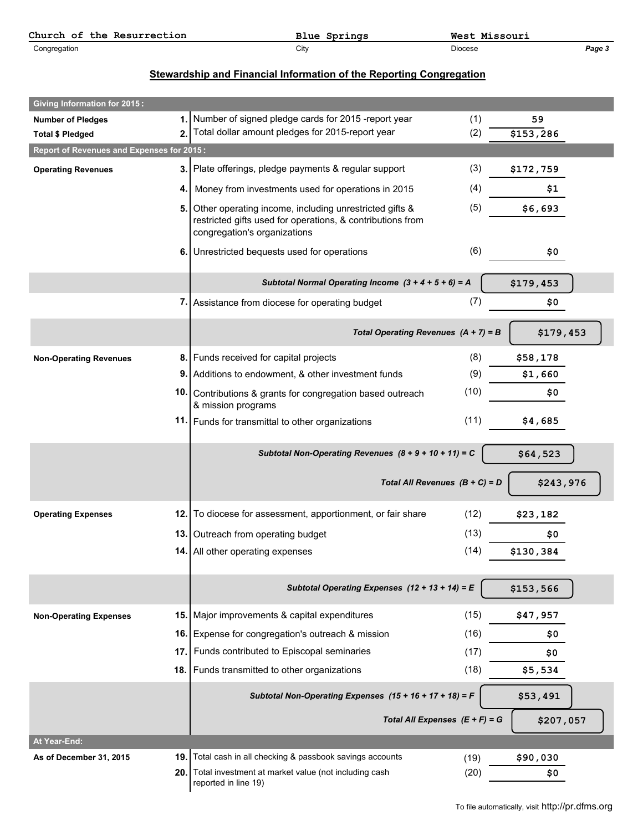| Church<br>Resurrection<br>the<br>ОĪ | Springs<br>Blue | Wes<br>---<br>Missouri |        |
|-------------------------------------|-----------------|------------------------|--------|
| Congregation                        | City            | Diocese                | Page J |

## **Stewardship and Financial Information of the Reporting Congregation**

| <b>Giving Information for 2015:</b>       |      |                                                                                                                                                         |                                  |           |
|-------------------------------------------|------|---------------------------------------------------------------------------------------------------------------------------------------------------------|----------------------------------|-----------|
| <b>Number of Pledges</b>                  |      | 1. Number of signed pledge cards for 2015 -report year                                                                                                  | (1)                              | 59        |
| <b>Total \$ Pledged</b>                   | 2.   | Total dollar amount pledges for 2015-report year                                                                                                        | (2)                              | \$153,286 |
| Report of Revenues and Expenses for 2015: |      |                                                                                                                                                         |                                  |           |
| <b>Operating Revenues</b>                 |      | 3. Plate offerings, pledge payments & regular support                                                                                                   | (3)                              | \$172,759 |
|                                           |      | 4. Money from investments used for operations in 2015                                                                                                   | (4)                              | \$1       |
|                                           |      | 5. Other operating income, including unrestricted gifts &<br>restricted gifts used for operations, & contributions from<br>congregation's organizations | (5)                              | \$6,693   |
|                                           |      | 6. Unrestricted bequests used for operations                                                                                                            | (6)                              | \$0       |
|                                           |      | Subtotal Normal Operating Income $(3 + 4 + 5 + 6) = A$                                                                                                  |                                  | \$179,453 |
|                                           |      | 7. Assistance from diocese for operating budget                                                                                                         | (7)                              | \$0       |
|                                           |      | Total Operating Revenues $(A + 7) = B$                                                                                                                  |                                  | \$179,453 |
| <b>Non-Operating Revenues</b>             |      | 8. Funds received for capital projects                                                                                                                  | (8)                              | \$58,178  |
|                                           |      | 9. Additions to endowment, & other investment funds                                                                                                     | (9)                              | \$1,660   |
|                                           |      | 10. Contributions & grants for congregation based outreach<br>& mission programs                                                                        | (10)                             | \$0       |
|                                           |      | 11. Funds for transmittal to other organizations                                                                                                        | (11)                             | \$4,685   |
|                                           |      | Subtotal Non-Operating Revenues $(8 + 9 + 10 + 11) = C$                                                                                                 |                                  | \$64,523  |
|                                           |      |                                                                                                                                                         | Total All Revenues $(B + C) = D$ | \$243,976 |
| <b>Operating Expenses</b>                 |      | 12. To diocese for assessment, apportionment, or fair share                                                                                             | (12)                             | \$23,182  |
|                                           |      | 13. Outreach from operating budget                                                                                                                      | (13)                             | \$0       |
|                                           |      | 14. All other operating expenses                                                                                                                        | (14)                             | \$130,384 |
|                                           |      | Subtotal Operating Expenses $(12 + 13 + 14) = E$                                                                                                        |                                  | \$153,566 |
| <b>Non-Operating Expenses</b>             |      | 15. Major improvements & capital expenditures                                                                                                           | (15)                             | \$47,957  |
|                                           |      | 16. Expense for congregation's outreach & mission                                                                                                       | (16)                             | \$0       |
|                                           |      | 17. Funds contributed to Episcopal seminaries                                                                                                           | (17)                             | \$0       |
|                                           |      | 18. Funds transmitted to other organizations                                                                                                            | (18)                             | \$5,534   |
|                                           |      | Subtotal Non-Operating Expenses $(15 + 16 + 17 + 18) = F$                                                                                               |                                  | \$53,491  |
|                                           |      |                                                                                                                                                         | Total All Expenses $(E + F) = G$ | \$207,057 |
| At Year-End:                              |      |                                                                                                                                                         |                                  |           |
| As of December 31, 2015                   | 19.  | Total cash in all checking & passbook savings accounts                                                                                                  | (19)                             | \$90,030  |
|                                           | 20.1 | Total investment at market value (not including cash<br>reported in line 19)                                                                            | (20)                             | \$0       |